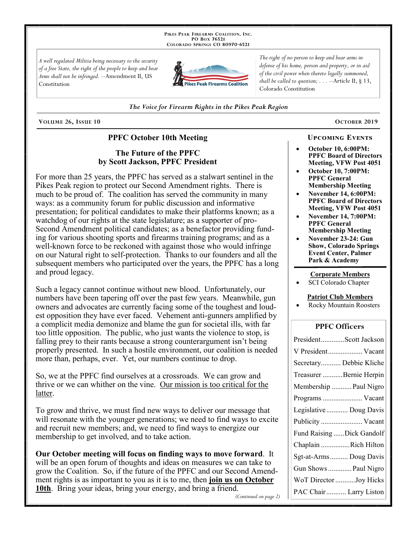PIKES PEAK FIREARMS COALITION, INC. PO Box 76521 COLORADO SPRINGS CO 80970-6521

A well regulated Militia being necessary to the security of a free State, the right of the people to keep and bear Arms shall not be infringed. --Amendment II, US Constitution



The right of no person to keep and bear arms in defense of his home, person and property, or in aid of the civil power when thereto legally summoned, shall be called to question;  $\ldots$  --Article II, § 13, Colorado Constitution

#### The Voice for Firearm Rights in the Pikes Peak Region

VOLUME 26, ISSUE 10

### **PPFC October 10th Meeting**

## The Future of the PPFC by Scott Jackson, PPFC President

For more than 25 years, the PPFC has served as a stalwart sentinel in the Pikes Peak region to protect our Second Amendment rights. There is much to be proud of. The coalition has served the community in many ways: as a community forum for public discussion and informative presentation; for political candidates to make their platforms known; as a watchdog of our rights at the state legislature; as a supporter of pro-Second Amendment political candidates; as a benefactor providing funding for various shooting sports and firearms training programs; and as a well-known force to be reckoned with against those who would infringe on our Natural right to self-protection. Thanks to our founders and all the subsequent members who participated over the years, the PPFC has a long and proud legacy.

Such a legacy cannot continue without new blood. Unfortunately, our numbers have been tapering off over the past few years. Meanwhile, gun owners and advocates are currently facing some of the toughest and loudest opposition they have ever faced. Vehement anti-gunners amplified by a complicit media demonize and blame the gun for societal ills, with far too little opposition. The public, who just wants the violence to stop, is falling prey to their rants because a strong counterargument isn't being properly presented. In such a hostile environment, our coalition is needed more than, perhaps, ever. Yet, our numbers continue to drop.

So, we at the PPFC find ourselves at a crossroads. We can grow and thrive or we can whither on the vine. Our mission is too critical for the latter.

To grow and thrive, we must find new ways to deliver our message that will resonate with the younger generations; we need to find ways to excite and recruit new members; and, we need to find ways to energize our membership to get involved, and to take action.

**Our October meeting will focus on finding ways to move forward.** It will be an open forum of thoughts and ideas on measures we can take to grow the Coalition. So, if the future of the PPFC and our Second Amendment rights is as important to you as it is to me, then join us on October 10th. Bring your ideas, bring your energy, and bring a friend.

(Continued on page 2)

# OCTOBER 2019

**October 10, 6:00PM: PPFC Board of Directors** Meeting, VFW Post 4051

**UPCOMING EVENTS** 

- **October 10, 7:00PM: PPFC General Membership Meeting**
- **November 14, 6:00PM: PPFC Board of Directors Meeting, VFW Post 4051**
- **November 14, 7:00PM: PPFC General Membership Meeting**
- November 23-24: Gun **Show, Colorado Springs Event Center, Palmer** Park & Academy

#### **Corporate Members**

SCI Colorado Chapter

#### **Patriot Club Members**

Rocky Mountain Roosters

#### **PPFC Officers**

| PresidentScott Jackson    |
|---------------------------|
| V President Vacant        |
| Secretary Debbie Kliche   |
| Treasurer Bernie Herpin   |
| Membership  Paul Nigro    |
| Programs  Vacant          |
| Legislative  Doug Davis   |
| Publicity  Vacant         |
| Fund Raising Dick Gandolf |
| Chaplain Rich Hilton      |
| Sgt-at-Arms Doug Davis    |
| Gun Shows  Paul Nigro     |
| WoT Director Joy Hicks    |
| PAC Chair  Larry Liston   |